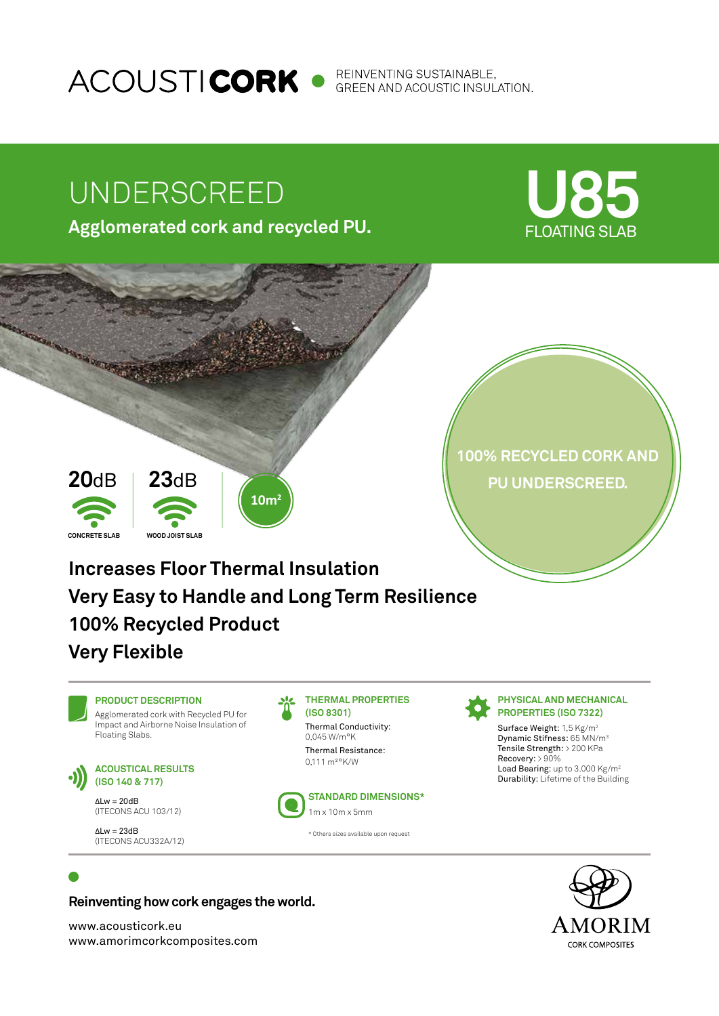ACOUSTI**CORK** • REINVENTING SUSTAINABLE,

# UNDERSCREED

**Agglomerated cork and recycled PU.**





## **Reinventing how cork engages the world.**

www.acousticork.eu www.amorimcorkcomposites.com